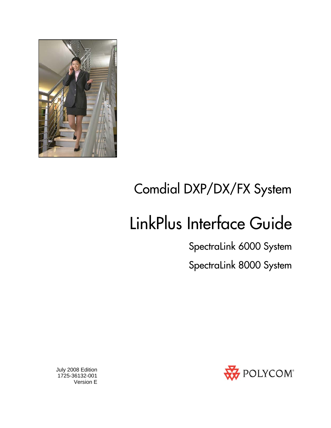

# Comdial DXP/DX/FX System

# LinkPlus Interface Guide

SpectraLink 6000 System SpectraLink 8000 System



 July 2008 Edition 1725-36132-001 Version E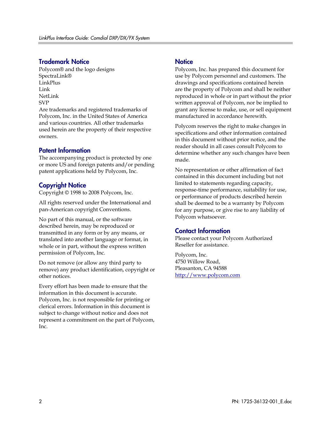#### Trademark Notice

Polycom® and the logo designs SpectraLink® LinkPlus Link NetLink SVP

Are trademarks and registered trademarks of Polycom, Inc. in the United States of America and various countries. All other trademarks used herein are the property of their respective owners.

#### Patent Information

The accompanying product is protected by one or more US and foreign patents and/or pending patent applications held by Polycom, Inc.

#### Copyright Notice

Copyright © 1998 to 2008 Polycom, Inc.

All rights reserved under the International and pan-American copyright Conventions.

No part of this manual, or the software described herein, may be reproduced or transmitted in any form or by any means, or translated into another language or format, in whole or in part, without the express written permission of Polycom, Inc.

Do not remove (or allow any third party to remove) any product identification, copyright or other notices.

Every effort has been made to ensure that the information in this document is accurate. Polycom, Inc. is not responsible for printing or clerical errors. Information in this document is subject to change without notice and does not represent a commitment on the part of Polycom, Inc.

#### **Notice**

Polycom, Inc. has prepared this document for use by Polycom personnel and customers. The drawings and specifications contained herein are the property of Polycom and shall be neither reproduced in whole or in part without the prior written approval of Polycom, nor be implied to grant any license to make, use, or sell equipment manufactured in accordance herewith.

Polycom reserves the right to make changes in specifications and other information contained in this document without prior notice, and the reader should in all cases consult Polycom to determine whether any such changes have been made.

No representation or other affirmation of fact contained in this document including but not limited to statements regarding capacity, response-time performance, suitability for use, or performance of products described herein shall be deemed to be a warranty by Polycom for any purpose, or give rise to any liability of Polycom whatsoever.

#### Contact Information

Please contact your Polycom Authorized Reseller for assistance.

Polycom, Inc. 4750 Willow Road, Pleasanton, CA 94588 [http://www.polycom.com](http://www.polycom.com/)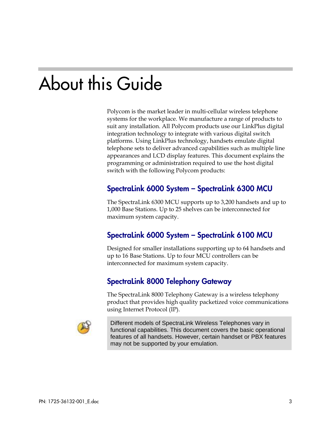# About this Guide

Polycom is the market leader in multi-cellular wireless telephone systems for the workplace. We manufacture a range of products to suit any installation. All Polycom products use our LinkPlus digital integration technology to integrate with various digital switch platforms. Using LinkPlus technology, handsets emulate digital telephone sets to deliver advanced capabilities such as multiple line appearances and LCD display features. This document explains the programming or administration required to use the host digital switch with the following Polycom products:

### SpectraLink 6000 System – SpectraLink 6300 MCU

The SpectraLink 6300 MCU supports up to 3,200 handsets and up to 1,000 Base Stations. Up to 25 shelves can be interconnected for maximum system capacity.

## SpectraLink 6000 System – SpectraLink 6100 MCU

Designed for smaller installations supporting up to 64 handsets and up to 16 Base Stations. Up to four MCU controllers can be interconnected for maximum system capacity.

## SpectraLink 8000 Telephony Gateway

The SpectraLink 8000 Telephony Gateway is a wireless telephony product that provides high quality packetized voice communications using Internet Protocol (IP).



Different models of SpectraLink Wireless Telephones vary in functional capabilities. This document covers the basic operational features of all handsets. However, certain handset or PBX features may not be supported by your emulation.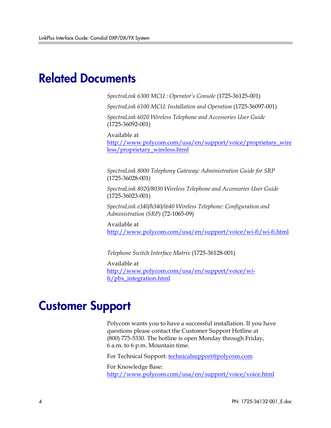# Related Documents

*SpectraLink 6300 MCU : Operator's Console* (1725-36125-001)

*SpectraLink 6100 MCU: Installation and Operation* (1725-36097-001)

*SpectraLink 6020 Wireless Telephone and Accessories User Guide*  (1725-36092-001)

Available at

[http://www.polycom.com/usa/en/support/voice/proprietary\\_wire](http://www.polycom.com/usa/en/support/voice/proprietary_wireless/proprietary_wireless.html) [less/proprietary\\_wireless.html](http://www.polycom.com/usa/en/support/voice/proprietary_wireless/proprietary_wireless.html)

*SpectraLink 8000 Telephony Gateway: Administration Guide for SRP*  (1725-36028-001)

*SpectraLink 8020/8030 Wireless Telephone and Accessories User Guide*  (1725-36023-001)

*SpectraLink e340/h340/i640 Wireless Telephone: Configuration and Administration (SRP)* (72-1065-09)

Available at <http://www.polycom.com/usa/en/support/voice/wi-fi/wi-fi.html>

*Telephone Switch Interface Matrix* (1725-36128-001)

Available at [http://www.polycom.com/usa/en/support/voice/wi](http://www.polycom.com/usa/en/support/voice/wi-fi/pbx_integration.html)[fi/pbx\\_integration.html](http://www.polycom.com/usa/en/support/voice/wi-fi/pbx_integration.html)

# Customer Support

Polycom wants you to have a successful installation. If you have questions please contact the Customer Support Hotline at (800) 775-5330. The hotline is open Monday through Friday, 6 a.m. to 6 p.m. Mountain time.

For Technical Support: [technicalsupport@polycom.com](mailto:technicalsupport@polycom.com)

For Knowledge Base: <http://www.polycom.com/usa/en/support/voice/voice.html>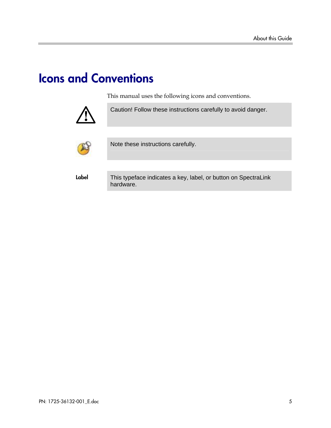# Icons and Conventions

This manual uses the following icons and conventions.



Caution! Follow these instructions carefully to avoid danger.



Note these instructions carefully.

Label This typeface indicates a key, label, or button on SpectraLink hardware.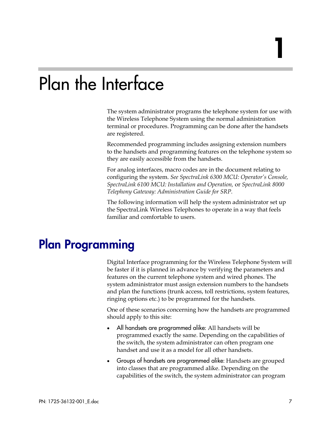# Plan the Interface

The system administrator programs the telephone system for use with the Wireless Telephone System using the normal administration terminal or procedures. Programming can be done after the handsets are registered.

Recommended programming includes assigning extension numbers to the handsets and programming features on the telephone system so they are easily accessible from the handsets.

For analog interfaces, macro codes are in the document relating to configuring the system. *See SpectraLink 6300 MCU: Operator's Console, SpectraLink 6100 MCU: Installation and Operation,* or *SpectraLink 8000 Telephony Gateway: Administration Guide for SRP.*

The following information will help the system administrator set up the SpectraLink Wireless Telephones to operate in a way that feels familiar and comfortable to users.

# Plan Programming

Digital Interface programming for the Wireless Telephone System will be faster if it is planned in advance by verifying the parameters and features on the current telephone system and wired phones. The system administrator must assign extension numbers to the handsets and plan the functions (trunk access, toll restrictions, system features, ringing options etc.) to be programmed for the handsets.

One of these scenarios concerning how the handsets are programmed should apply to this site:

- All handsets are programmed alike: All handsets will be programmed exactly the same. Depending on the capabilities of the switch, the system administrator can often program one handset and use it as a model for all other handsets.
- Groups of handsets are programmed alike: Handsets are grouped into classes that are programmed alike. Depending on the capabilities of the switch, the system administrator can program

1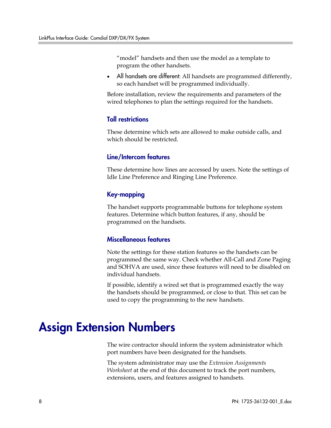"model" handsets and then use the model as a template to program the other handsets.

All handsets are different: All handsets are programmed differently, so each handset will be programmed individually.

Before installation, review the requirements and parameters of the wired telephones to plan the settings required for the handsets.

#### Toll restrictions

These determine which sets are allowed to make outside calls, and which should be restricted.

#### Line/Intercom features

These determine how lines are accessed by users. Note the settings of Idle Line Preference and Ringing Line Preference.

#### Key-mapping

The handset supports programmable buttons for telephone system features. Determine which button features, if any, should be programmed on the handsets.

#### Miscellaneous features

Note the settings for these station features so the handsets can be programmed the same way. Check whether All-Call and Zone Paging and SOHVA are used, since these features will need to be disabled on individual handsets.

If possible, identify a wired set that is programmed exactly the way the handsets should be programmed, or close to that. This set can be used to copy the programming to the new handsets.

## Assign Extension Numbers

The wire contractor should inform the system administrator which port numbers have been designated for the handsets.

The system administrator may use the *Extension Assignments Worksheet* at the end of this document to track the port numbers, extensions, users, and features assigned to handsets.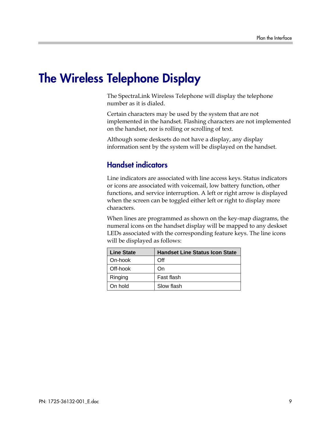# The Wireless Telephone Display

The SpectraLink Wireless Telephone will display the telephone number as it is dialed.

Certain characters may be used by the system that are not implemented in the handset. Flashing characters are not implemented on the handset, nor is rolling or scrolling of text.

Although some desksets do not have a display, any display information sent by the system will be displayed on the handset.

## Handset indicators

Line indicators are associated with line access keys. Status indicators or icons are associated with voicemail, low battery function, other functions, and service interruption. A left or right arrow is displayed when the screen can be toggled either left or right to display more characters.

When lines are programmed as shown on the key-map diagrams, the numeral icons on the handset display will be mapped to any deskset LEDs associated with the corresponding feature keys. The line icons will be displayed as follows:

| <b>Line State</b> | <b>Handset Line Status Icon State</b> |
|-------------------|---------------------------------------|
| On-hook           | Off                                   |
| Off-hook          | On)                                   |
| Ringing           | Fast flash                            |
| On hold           | Slow flash                            |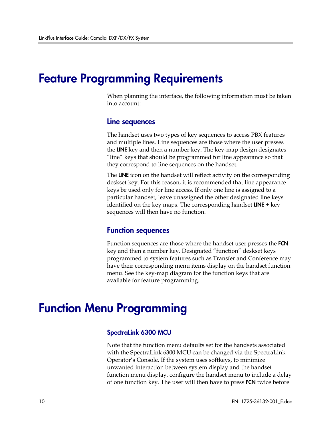## Feature Programming Requirements

When planning the interface, the following information must be taken into account:

#### Line sequences

The handset uses two types of key sequences to access PBX features and multiple lines. Line sequences are those where the user presses the LINE key and then a number key. The key-map design designates "line" keys that should be programmed for line appearance so that they correspond to line sequences on the handset.

The LINE icon on the handset will reflect activity on the corresponding deskset key. For this reason, it is recommended that line appearance keys be used only for line access. If only one line is assigned to a particular handset, leave unassigned the other designated line keys identified on the key maps. The corresponding handset  $LINE + key$ sequences will then have no function.

#### Function sequences

Function sequences are those where the handset user presses the FCN key and then a number key. Designated "function" deskset keys programmed to system features such as Transfer and Conference may have their corresponding menu items display on the handset function menu. See the key-map diagram for the function keys that are available for feature programming.

# Function Menu Programming

#### SpectraLink 6300 MCU

Note that the function menu defaults set for the handsets associated with the SpectraLink 6300 MCU can be changed via the SpectraLink Operator's Console. If the system uses softkeys, to minimize unwanted interaction between system display and the handset function menu display, configure the handset menu to include a delay of one function key. The user will then have to press **FCN** twice before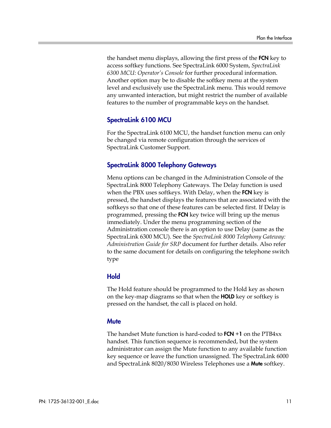the handset menu displays, allowing the first press of the **FCN** key to access softkey functions. See SpectraLink 6000 System, *SpectraLink 6300 MCU: Operator's Console* for further procedural information. Another option may be to disable the softkey menu at the system level and exclusively use the SpectraLink menu. This would remove any unwanted interaction, but might restrict the number of available features to the number of programmable keys on the handset.

#### SpectraLink 6100 MCU

For the SpectraLink 6100 MCU, the handset function menu can only be changed via remote configuration through the services of SpectraLink Customer Support.

#### SpectraLink 8000 Telephony Gateways

Menu options can be changed in the Administration Console of the SpectraLink 8000 Telephony Gateways. The Delay function is used when the PBX uses softkeys. With Delay, when the FCN key is pressed, the handset displays the features that are associated with the softkeys so that one of these features can be selected first. If Delay is programmed, pressing the **FCN** key twice will bring up the menus immediately. Under the menu programming section of the Administration console there is an option to use Delay (same as the SpectraLink 6300 MCU). See the *SpectraLink 8000 Telephony Gateway: Administration Guide for SRP* document for further details. Also refer to the same document for details on configuring the telephone switch type

#### **Hold**

The Hold feature should be programmed to the Hold key as shown on the key-map diagrams so that when the **HOLD** key or softkey is pressed on the handset, the call is placed on hold.

#### **Mute**

The handset Mute function is hard-coded to  $FCN + 1$  on the  $PTB4xx$ handset. This function sequence is recommended, but the system administrator can assign the Mute function to any available function key sequence or leave the function unassigned. The SpectraLink 6000 and SpectraLink 8020/8030 Wireless Telephones use a **Mute** softkey.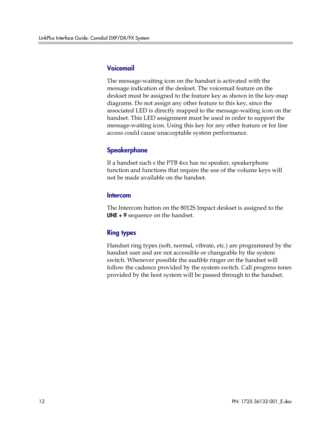#### Voicemail

The message-waiting icon on the handset is activated with the message indication of the deskset. The voicemail feature on the deskset must be assigned to the feature key as shown in the key-map diagrams. Do not assign any other feature to this key, since the associated LED is directly mapped to the message-waiting icon on the handset. This LED assignment must be used in order to support the message-waiting icon. Using this key for any other feature or for line access could cause unacceptable system performance.

### **Speakerphone**

If a handset such s the PTB 4xx has no speaker, speakerphone function and functions that require the use of the volume keys will not be made available on the handset.

#### Intercom

The Intercom button on the 8012S Impact deskset is assigned to the LINE + 9 sequence on the handset.

### Ring types

Handset ring types (soft, normal, vibrate, etc.) are programmed by the handset user and are not accessible or changeable by the system switch. Whenever possible the audible ringer on the handset will follow the cadence provided by the system switch. Call progress tones provided by the host system will be passed through to the handset.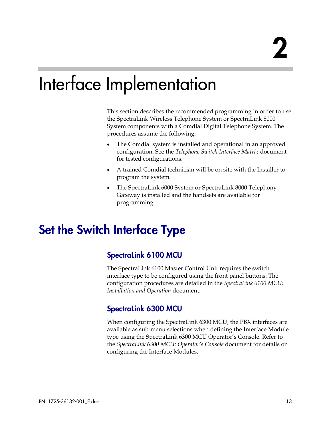# Interface Implementation

This section describes the recommended programming in order to use the SpectraLink Wireless Telephone System or SpectraLink 8000 System components with a Comdial Digital Telephone System. The procedures assume the following:

- The Comdial system is installed and operational in an approved configuration. See the *Telephone Switch Interface Matrix* document for tested configurations.
- A trained Comdial technician will be on site with the Installer to program the system.
- The SpectraLink 6000 System or SpectraLink 8000 Telephony Gateway is installed and the handsets are available for programming.

# Set the Switch Interface Type

## SpectraLink 6100 MCU

The SpectraLink 6100 Master Control Unit requires the switch interface type to be configured using the front panel buttons. The configuration procedures are detailed in the *SpectraLink 6100 MCU: Installation and Operation* document.

## SpectraLink 6300 MCU

When configuring the SpectraLink 6300 MCU, the PBX interfaces are available as sub-menu selections when defining the Interface Module type using the SpectraLink 6300 MCU Operator's Console. Refer to the *SpectraLink 6300 MCU: Operator's Console* document for details on configuring the Interface Modules.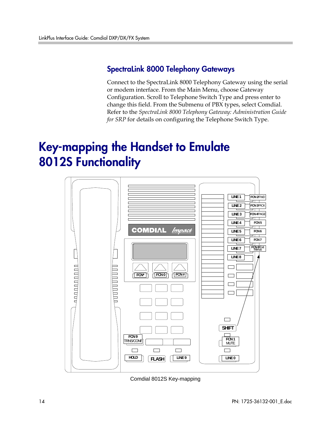### SpectraLink 8000 Telephony Gateways

Connect to the SpectraLink 8000 Telephony Gateway using the serial or modem interface. From the Main Menu, choose Gateway Configuration. Scroll to Telephone Switch Type and press enter to change this field. From the Submenu of PBX types, select Comdial. Refer to the *SpectraLink 8000 Telephony Gateway: Administration Guide for SRP* for details on configuring the Telephone Switch Type.

# Key-mapping the Handset to Emulate 8012S Functionality



Comdial 8012S Key-mapping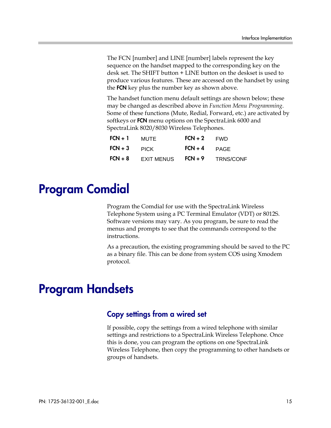The FCN [number] and LINE [number] labels represent the key sequence on the handset mapped to the corresponding key on the desk set. The SHIFT button + LINE button on the deskset is used to produce various features. These are accessed on the handset by using the **FCN** key plus the number key as shown above.

The handset function menu default settings are shown below; these may be changed as described above in *Function Menu Programming*. Some of these functions (Mute, Redial, Forward, etc.) are activated by softkeys or **FCN** menu options on the SpectraLink 6000 and SpectraLink 8020/8030 Wireless Telephones.

| $FCN + 1$ | MUTE              | $FCN + 2$ $FWD$ |                  |
|-----------|-------------------|-----------------|------------------|
| $FCN + 3$ | <b>PICK</b>       | $FCN + 4$ PAGE  |                  |
| $FCN + 8$ | <b>EXIT MENUS</b> | $FCN + 9$       | <b>TRNS/CONF</b> |

# Program Comdial

Program the Comdial for use with the SpectraLink Wireless Telephone System using a PC Terminal Emulator (VDT) or 8012S. Software versions may vary. As you program, be sure to read the menus and prompts to see that the commands correspond to the instructions.

As a precaution, the existing programming should be saved to the PC as a binary file. This can be done from system COS using Xmodem protocol.

# Program Handsets

#### Copy settings from a wired set

If possible, copy the settings from a wired telephone with similar settings and restrictions to a SpectraLink Wireless Telephone. Once this is done, you can program the options on one SpectraLink Wireless Telephone, then copy the programming to other handsets or groups of handsets.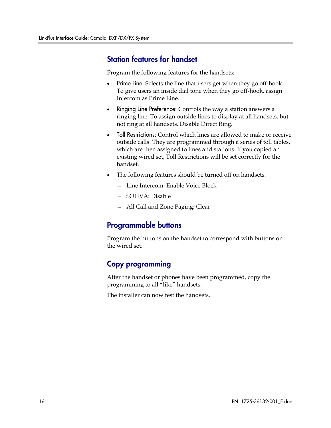### Station features for handset

Program the following features for the handsets:

- Prime Line: Selects the line that users get when they go off-hook. To give users an inside dial tone when they go off-hook, assign Intercom as Prime Line.
- Ringing Line Preference: Controls the way a station answers a ringing line. To assign outside lines to display at all handsets, but not ring at all handsets, Disable Direct Ring.
- Toll Restrictions: Control which lines are allowed to make or receive outside calls. They are programmed through a series of toll tables, which are then assigned to lines and stations. If you copied an existing wired set, Toll Restrictions will be set correctly for the handset.
- The following features should be turned off on handsets:
	- Line Intercom: Enable Voice Block
	- SOHVA: Disable
	- All Call and Zone Paging: Clear

### Programmable buttons

Program the buttons on the handset to correspond with buttons on the wired set.

## Copy programming

After the handset or phones have been programmed, copy the programming to all "like" handsets.

The installer can now test the handsets.